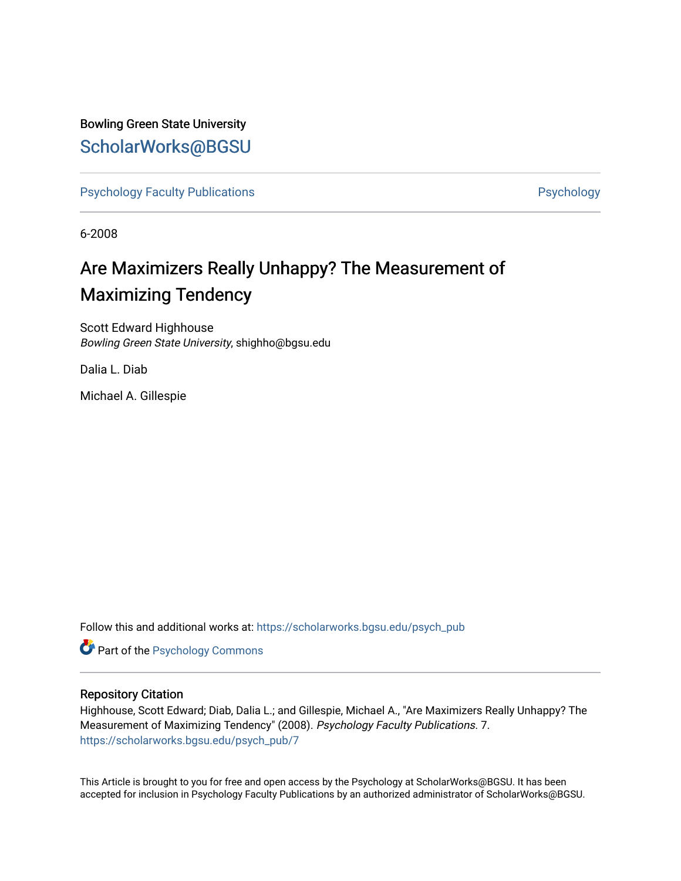# Bowling Green State University [ScholarWorks@BGSU](https://scholarworks.bgsu.edu/)

[Psychology Faculty Publications](https://scholarworks.bgsu.edu/psych_pub) **Psychology** Psychology

6-2008

# Are Maximizers Really Unhappy? The Measurement of Maximizing Tendency

Scott Edward Highhouse Bowling Green State University, shighho@bgsu.edu

Dalia L. Diab

Michael A. Gillespie

Follow this and additional works at: [https://scholarworks.bgsu.edu/psych\\_pub](https://scholarworks.bgsu.edu/psych_pub?utm_source=scholarworks.bgsu.edu%2Fpsych_pub%2F7&utm_medium=PDF&utm_campaign=PDFCoverPages)

**Part of the Psychology Commons** 

### Repository Citation

Highhouse, Scott Edward; Diab, Dalia L.; and Gillespie, Michael A., "Are Maximizers Really Unhappy? The Measurement of Maximizing Tendency" (2008). Psychology Faculty Publications. 7. [https://scholarworks.bgsu.edu/psych\\_pub/7](https://scholarworks.bgsu.edu/psych_pub/7?utm_source=scholarworks.bgsu.edu%2Fpsych_pub%2F7&utm_medium=PDF&utm_campaign=PDFCoverPages) 

This Article is brought to you for free and open access by the Psychology at ScholarWorks@BGSU. It has been accepted for inclusion in Psychology Faculty Publications by an authorized administrator of ScholarWorks@BGSU.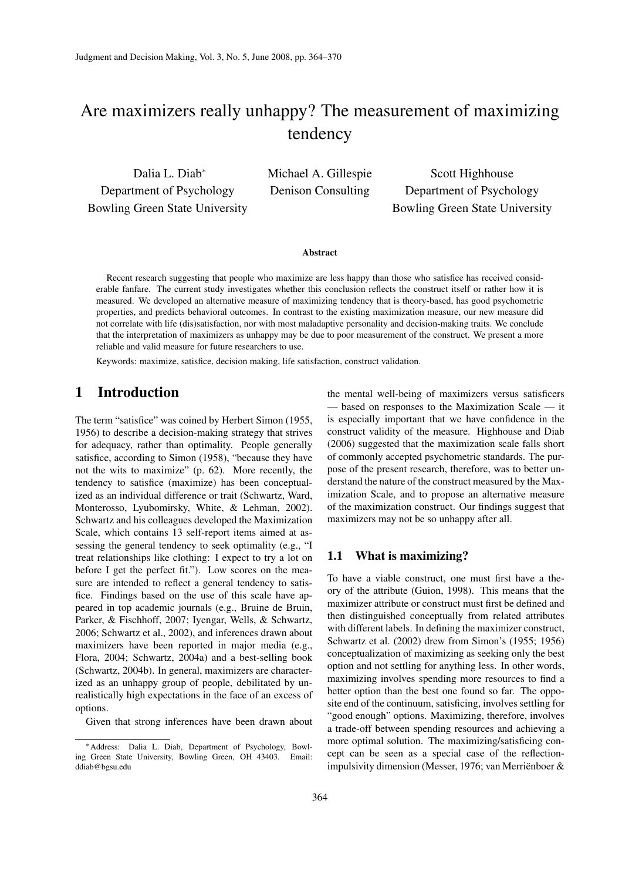# Are maximizers really unhappy? The measurement of maximizing tendency

Dalia L. Diab<sup>∗</sup> Department of Psychology Bowling Green State University Michael A. Gillespie Denison Consulting

Scott Highhouse Department of Psychology Bowling Green State University

#### **Abstract**

Recent research suggesting that people who maximize are less happy than those who satisfice has received considerable fanfare. The current study investigates whether this conclusion reflects the construct itself or rather how it is measured. We developed an alternative measure of maximizing tendency that is theory-based, has good psychometric properties, and predicts behavioral outcomes. In contrast to the existing maximization measure, our new measure did not correlate with life (dis)satisfaction, nor with most maladaptive personality and decision-making traits. We conclude that the interpretation of maximizers as unhappy may be due to poor measurement of the construct. We present a more reliable and valid measure for future researchers to use.

Keywords: maximize, satisfice, decision making, life satisfaction, construct validation.

## 1 Introduction

The term "satisfice" was coined by Herbert Simon (1955, 1956) to describe a decision-making strategy that strives for adequacy, rather than optimality. People generally satisfice, according to Simon (1958), "because they have not the wits to maximize" (p. 62). More recently, the tendency to satisfice (maximize) has been conceptualized as an individual difference or trait (Schwartz, Ward, Monterosso, Lyubomirsky, White, & Lehman, 2002). Schwartz and his colleagues developed the Maximization Scale, which contains 13 self-report items aimed at assessing the general tendency to seek optimality (e.g., "I treat relationships like clothing: I expect to try a lot on before I get the perfect fit."). Low scores on the measure are intended to reflect a general tendency to satisfice. Findings based on the use of this scale have appeared in top academic journals (e.g., Bruine de Bruin, Parker, & Fischhoff, 2007; Iyengar, Wells, & Schwartz, 2006; Schwartz et al., 2002), and inferences drawn about maximizers have been reported in major media (e.g., Flora, 2004; Schwartz, 2004a) and a best-selling book (Schwartz, 2004b). In general, maximizers are characterized as an unhappy group of people, debilitated by unrealistically high expectations in the face of an excess of options.

Given that strong inferences have been drawn about

the mental well-being of maximizers versus satisficers — based on responses to the Maximization Scale — it is especially important that we have confidence in the construct validity of the measure. Highhouse and Diab (2006) suggested that the maximization scale falls short of commonly accepted psychometric standards. The purpose of the present research, therefore, was to better understand the nature of the construct measured by the Maximization Scale, and to propose an alternative measure of the maximization construct. Our findings suggest that maximizers may not be so unhappy after all.

#### 1.1 What is maximizing?

To have a viable construct, one must first have a theory of the attribute (Guion, 1998). This means that the maximizer attribute or construct must first be defined and then distinguished conceptually from related attributes with different labels. In defining the maximizer construct, Schwartz et al. (2002) drew from Simon's (1955; 1956) conceptualization of maximizing as seeking only the best option and not settling for anything less. In other words, maximizing involves spending more resources to find a better option than the best one found so far. The opposite end of the continuum, satisficing, involves settling for "good enough" options. Maximizing, therefore, involves a trade-off between spending resources and achieving a more optimal solution. The maximizing/satisficing concept can be seen as a special case of the reflectionimpulsivity dimension (Messer, 1976; van Merriënboer &

<sup>∗</sup>Address: Dalia L. Diab, Department of Psychology, Bowling Green State University, Bowling Green, OH 43403. Email: ddiab@bgsu.edu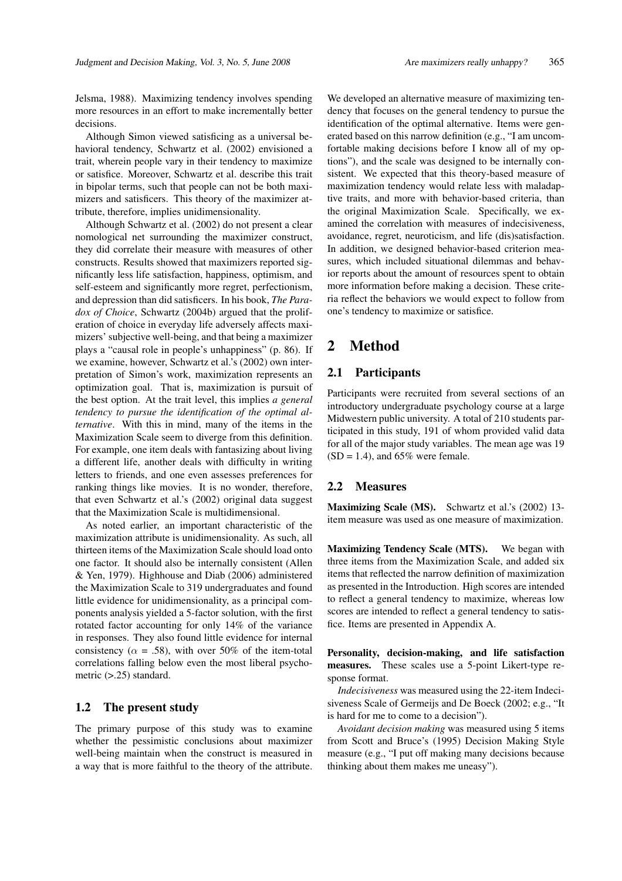Jelsma, 1988). Maximizing tendency involves spending more resources in an effort to make incrementally better decisions.

Although Simon viewed satisficing as a universal behavioral tendency, Schwartz et al. (2002) envisioned a trait, wherein people vary in their tendency to maximize or satisfice. Moreover, Schwartz et al. describe this trait in bipolar terms, such that people can not be both maximizers and satisficers. This theory of the maximizer attribute, therefore, implies unidimensionality.

Although Schwartz et al. (2002) do not present a clear nomological net surrounding the maximizer construct, they did correlate their measure with measures of other constructs. Results showed that maximizers reported significantly less life satisfaction, happiness, optimism, and self-esteem and significantly more regret, perfectionism, and depression than did satisficers. In his book, *The Paradox of Choice*, Schwartz (2004b) argued that the proliferation of choice in everyday life adversely affects maximizers' subjective well-being, and that being a maximizer plays a "causal role in people's unhappiness" (p. 86). If we examine, however, Schwartz et al.'s (2002) own interpretation of Simon's work, maximization represents an optimization goal. That is, maximization is pursuit of the best option. At the trait level, this implies *a general tendency to pursue the identification of the optimal alternative*. With this in mind, many of the items in the Maximization Scale seem to diverge from this definition. For example, one item deals with fantasizing about living a different life, another deals with difficulty in writing letters to friends, and one even assesses preferences for ranking things like movies. It is no wonder, therefore, that even Schwartz et al.'s (2002) original data suggest that the Maximization Scale is multidimensional.

As noted earlier, an important characteristic of the maximization attribute is unidimensionality. As such, all thirteen items of the Maximization Scale should load onto one factor. It should also be internally consistent (Allen & Yen, 1979). Highhouse and Diab (2006) administered the Maximization Scale to 319 undergraduates and found little evidence for unidimensionality, as a principal components analysis yielded a 5-factor solution, with the first rotated factor accounting for only 14% of the variance in responses. They also found little evidence for internal consistency ( $\alpha = .58$ ), with over 50% of the item-total correlations falling below even the most liberal psychometric (>.25) standard.

#### 1.2 The present study

The primary purpose of this study was to examine whether the pessimistic conclusions about maximizer well-being maintain when the construct is measured in a way that is more faithful to the theory of the attribute.

We developed an alternative measure of maximizing tendency that focuses on the general tendency to pursue the identification of the optimal alternative. Items were generated based on this narrow definition (e.g., "I am uncomfortable making decisions before I know all of my options"), and the scale was designed to be internally consistent. We expected that this theory-based measure of maximization tendency would relate less with maladaptive traits, and more with behavior-based criteria, than the original Maximization Scale. Specifically, we examined the correlation with measures of indecisiveness, avoidance, regret, neuroticism, and life (dis)satisfaction. In addition, we designed behavior-based criterion measures, which included situational dilemmas and behavior reports about the amount of resources spent to obtain more information before making a decision. These criteria reflect the behaviors we would expect to follow from one's tendency to maximize or satisfice.

## 2 Method

#### 2.1 Participants

Participants were recruited from several sections of an introductory undergraduate psychology course at a large Midwestern public university. A total of 210 students participated in this study, 191 of whom provided valid data for all of the major study variables. The mean age was 19  $(SD = 1.4)$ , and 65% were female.

#### 2.2 Measures

Maximizing Scale (MS). Schwartz et al.'s (2002) 13item measure was used as one measure of maximization.

Maximizing Tendency Scale (MTS). We began with three items from the Maximization Scale, and added six items that reflected the narrow definition of maximization as presented in the Introduction. High scores are intended to reflect a general tendency to maximize, whereas low scores are intended to reflect a general tendency to satisfice. Items are presented in Appendix A.

Personality, decision-making, and life satisfaction measures. These scales use a 5-point Likert-type response format.

*Indecisiveness* was measured using the 22-item Indecisiveness Scale of Germeijs and De Boeck (2002; e.g., "It is hard for me to come to a decision").

*Avoidant decision making* was measured using 5 items from Scott and Bruce's (1995) Decision Making Style measure (e.g., "I put off making many decisions because thinking about them makes me uneasy").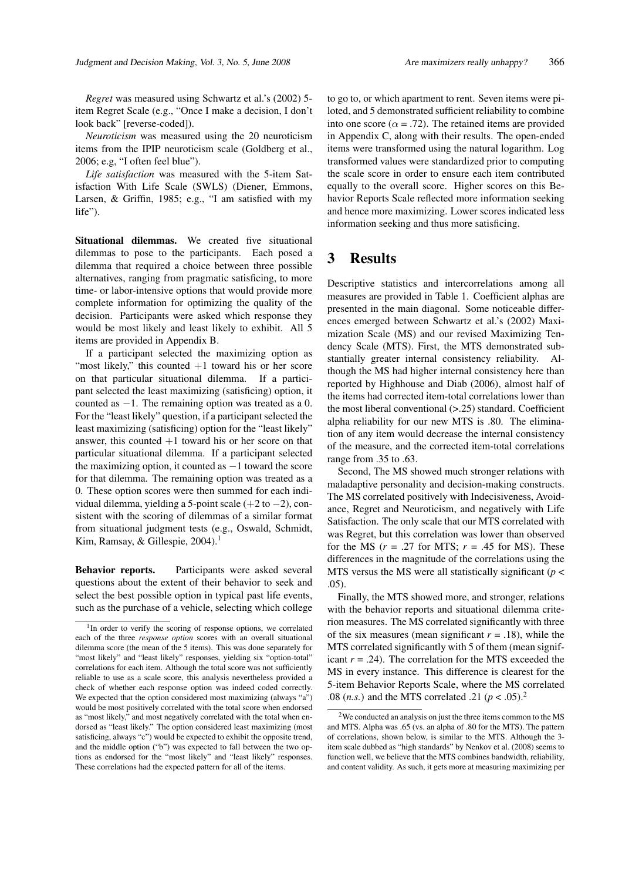*Regret* was measured using Schwartz et al.'s (2002) 5 item Regret Scale (e.g., "Once I make a decision, I don't look back" [reverse-coded]).

*Neuroticism* was measured using the 20 neuroticism items from the IPIP neuroticism scale (Goldberg et al., 2006; e.g, "I often feel blue").

*Life satisfaction* was measured with the 5-item Satisfaction With Life Scale (SWLS) (Diener, Emmons, Larsen, & Griffin, 1985; e.g., "I am satisfied with my life").

Situational dilemmas. We created five situational dilemmas to pose to the participants. Each posed a dilemma that required a choice between three possible alternatives, ranging from pragmatic satisficing, to more time- or labor-intensive options that would provide more complete information for optimizing the quality of the decision. Participants were asked which response they would be most likely and least likely to exhibit. All 5 items are provided in Appendix B.

If a participant selected the maximizing option as "most likely," this counted  $+1$  toward his or her score on that particular situational dilemma. If a participant selected the least maximizing (satisficing) option, it counted as  $-1$ . The remaining option was treated as a 0. For the "least likely" question, if a participant selected the least maximizing (satisficing) option for the "least likely" answer, this counted  $+1$  toward his or her score on that particular situational dilemma. If a participant selected the maximizing option, it counted as  $-1$  toward the score for that dilemma. The remaining option was treated as a 0. These option scores were then summed for each individual dilemma, yielding a 5-point scale (+2 to −2), consistent with the scoring of dilemmas of a similar format from situational judgment tests (e.g., Oswald, Schmidt, Kim, Ramsay, & Gillespie, 2004).<sup>1</sup>

Behavior reports. Participants were asked several questions about the extent of their behavior to seek and select the best possible option in typical past life events, such as the purchase of a vehicle, selecting which college

to go to, or which apartment to rent. Seven items were piloted, and 5 demonstrated sufficient reliability to combine into one score ( $\alpha = .72$ ). The retained items are provided in Appendix C, along with their results. The open-ended items were transformed using the natural logarithm. Log transformed values were standardized prior to computing the scale score in order to ensure each item contributed equally to the overall score. Higher scores on this Behavior Reports Scale reflected more information seeking and hence more maximizing. Lower scores indicated less information seeking and thus more satisficing.

## 3 Results

Descriptive statistics and intercorrelations among all measures are provided in Table 1. Coefficient alphas are presented in the main diagonal. Some noticeable differences emerged between Schwartz et al.'s (2002) Maximization Scale (MS) and our revised Maximizing Tendency Scale (MTS). First, the MTS demonstrated substantially greater internal consistency reliability. Although the MS had higher internal consistency here than reported by Highhouse and Diab (2006), almost half of the items had corrected item-total correlations lower than the most liberal conventional (>.25) standard. Coefficient alpha reliability for our new MTS is .80. The elimination of any item would decrease the internal consistency of the measure, and the corrected item-total correlations range from .35 to .63.

Second, The MS showed much stronger relations with maladaptive personality and decision-making constructs. The MS correlated positively with Indecisiveness, Avoidance, Regret and Neuroticism, and negatively with Life Satisfaction. The only scale that our MTS correlated with was Regret, but this correlation was lower than observed for the MS  $(r = .27$  for MTS;  $r = .45$  for MS). These differences in the magnitude of the correlations using the MTS versus the MS were all statistically significant (*p* < .05).

Finally, the MTS showed more, and stronger, relations with the behavior reports and situational dilemma criterion measures. The MS correlated significantly with three of the six measures (mean significant  $r = .18$ ), while the MTS correlated significantly with 5 of them (mean significant  $r = .24$ ). The correlation for the MTS exceeded the MS in every instance. This difference is clearest for the 5-item Behavior Reports Scale, where the MS correlated .08 (*n.s.*) and the MTS correlated .21 ( $p < .05$ ).<sup>2</sup>

<sup>&</sup>lt;sup>1</sup>In order to verify the scoring of response options, we correlated each of the three *response option* scores with an overall situational dilemma score (the mean of the 5 items). This was done separately for "most likely" and "least likely" responses, yielding six "option-total" correlations for each item. Although the total score was not sufficiently reliable to use as a scale score, this analysis nevertheless provided a check of whether each response option was indeed coded correctly. We expected that the option considered most maximizing (always "a") would be most positively correlated with the total score when endorsed as "most likely," and most negatively correlated with the total when endorsed as "least likely." The option considered least maximizing (most satisficing, always "c") would be expected to exhibit the opposite trend, and the middle option ("b") was expected to fall between the two options as endorsed for the "most likely" and "least likely" responses. These correlations had the expected pattern for all of the items.

<sup>2</sup>We conducted an analysis on just the three items common to the MS and MTS. Alpha was .65 (vs. an alpha of .80 for the MTS). The pattern of correlations, shown below, is similar to the MTS. Although the 3 item scale dubbed as "high standards" by Nenkov et al. (2008) seems to function well, we believe that the MTS combines bandwidth, reliability, and content validity. As such, it gets more at measuring maximizing per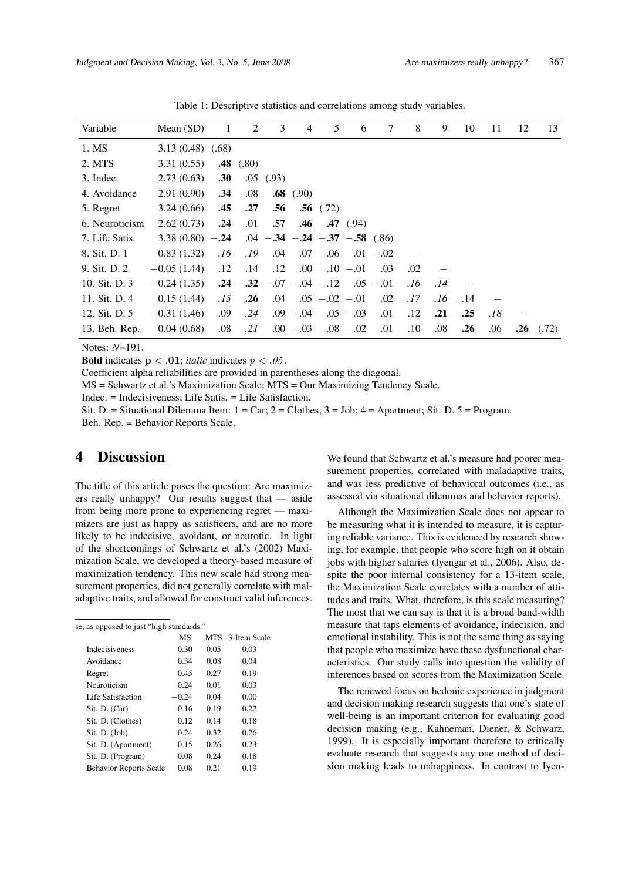| Variable       | Mean $(SD)$      | $\mathbf{1}$ | 2           | 3                                   | $\overline{4}$ | 5                   | 6           | 7           | 8   | 9   | 10  | 11  | 12  | 13    |
|----------------|------------------|--------------|-------------|-------------------------------------|----------------|---------------------|-------------|-------------|-----|-----|-----|-----|-----|-------|
| 1. MS          | 3.13(0.48)(0.68) |              |             |                                     |                |                     |             |             |     |     |     |     |     |       |
| 2. MTS         | 3.31(0.55)       |              | $.48$ (.80) |                                     |                |                     |             |             |     |     |     |     |     |       |
| 3. Indec.      | 2.73(0.63)       | .30          |             | $.05$ $(.93)$                       |                |                     |             |             |     |     |     |     |     |       |
| 4. Avoidance   | 2.91(0.90)       | .34          | .08         |                                     | $.68$ (.90)    |                     |             |             |     |     |     |     |     |       |
| 5. Regret      | 3.24(0.66)       | .45          | .27         | .56                                 |                | $.56$ (.72)         |             |             |     |     |     |     |     |       |
| 6. Neuroticism | 2.62(0.73)       | .24          | .01         | .57                                 | .46            |                     | .47(94)     |             |     |     |     |     |     |       |
| 7. Life Satis. | $3.38(0.80) -24$ |              |             | $.04 - .34 - .24 - .37 - .58$ (.86) |                |                     |             |             |     |     |     |     |     |       |
| 8. Sit. D. 1   | 0.83(1.32)       | .16          | .19         | .04                                 | .07            | .06                 |             | $.01 - .02$ |     |     |     |     |     |       |
| 9. Sit. D. 2   | $-0.05(1.44)$    | .12          | .14         | .12                                 | .00.           |                     | $.10 - .01$ | .03         | .02 |     |     |     |     |       |
| 10. Sit. D. 3  | $-0.24(1.35)$    | .24          |             | $.32 - .07 - .04$                   |                | .12                 |             | $.05 - .01$ | .16 | .14 |     |     |     |       |
| 11. Sit. D. 4  | 0.15(1.44)       | .15          | .26         | .04                                 |                | $.05$ $-.02$ $-.01$ |             | .02         | .17 | .16 | .14 |     |     |       |
| 12. Sit. D. 5  | $-0.31(1.46)$    | .09          | .24         |                                     | $.09 - .04$    |                     | $.05 - .03$ | .01         | .12 | .21 | .25 | .18 |     |       |
| 13. Beh. Rep.  | 0.04(0.68)       | .08          | .21         |                                     | $.00 - .03$    |                     | $.08 - .02$ | .01         | .10 | .08 | .26 | .06 | .26 | (.72) |

Table 1: Descriptive statistics and correlations among study variables.

Notes: *N*=191.

**Bold** indicates  $p < .01$ ; *italic* indicates  $p < .05$ .

Coefficient alpha reliabilities are provided in parentheses along the diagonal.

MS = Schwartz et al.'s Maximization Scale; MTS = Our Maximizing Tendency Scale.

Indec. = Indecisiveness; Life Satis. = Life Satisfaction.

Sit. D. = Situational Dilemma Item:  $1 = \text{Car}$ ;  $2 = \text{Clothes}$ ;  $3 = \text{Job}$ ;  $4 = \text{Apartment}$ ; Sit. D.  $5 = \text{Program}$ . Beh. Rep. = Behavior Reports Scale.

## 4 Discussion

The title of this article poses the question: Are maximizers really unhappy? Our results suggest that — aside from being more prone to experiencing regret — maximizers are just as happy as satisficers, and are no more likely to be indecisive, avoidant, or neurotic. In light of the shortcomings of Schwartz et al.'s (2002) Maximization Scale, we developed a theory-based measure of maximization tendency. This new scale had strong measurement properties, did not generally correlate with maladaptive traits, and allowed for construct valid inferences.

| se, as opposed to just "high standards." |         |      |                  |
|------------------------------------------|---------|------|------------------|
|                                          | МS      |      | MTS 3-Item Scale |
| <b>Indecisiveness</b>                    | 0.30    | 0.05 | 0.03             |
| Avoidance                                | 0.34    | 0.08 | 0.04             |
| Regret                                   | 0.45    | 0.27 | 0.19             |
| Neuroticism                              | 0.24    | 0.01 | 0.03             |
| Life Satisfaction                        | $-0.24$ | 0.04 | 0.00             |
| Sit. D. (Car)                            | 0.16    | 0.19 | 0.22             |
| Sit. D. (Clothes)                        | 0.12    | 0.14 | 0.18             |
| $\text{Si}$ , D. (Job)                   | 0.24    | 0.32 | 0.26             |
| Sit. D. (Apartment)                      | 0.15    | 0.26 | 0.23             |
| Sit. D. (Program)                        | 0.08    | 0.24 | 0.18             |
| <b>Behavior Reports Scale</b>            | 0.08    | 0.21 | 0.19             |
|                                          |         |      |                  |

We found that Schwartz et al.'s measure had poorer measurement properties, correlated with maladaptive traits, and was less predictive of behavioral outcomes (i.e., as assessed via situational dilemmas and behavior reports).

Although the Maximization Scale does not appear to be measuring what it is intended to measure, it is capturing reliable variance. This is evidenced by research showing, for example, that people who score high on it obtain jobs with higher salaries (Iyengar et al., 2006). Also, despite the poor internal consistency for a 13-item scale, the Maximization Scale correlates with a number of attitudes and traits. What, therefore, is this scale measuring? The most that we can say is that it is a broad band-width measure that taps elements of avoidance, indecision, and emotional instability. This is not the same thing as saying that people who maximize have these dysfunctional characteristics. Our study calls into question the validity of inferences based on scores from the Maximization Scale.

The renewed focus on hedonic experience in judgment and decision making research suggests that one's state of well-being is an important criterion for evaluating good decision making (e.g., Kahneman, Diener, & Schwarz, 1999). It is especially important therefore to critically evaluate research that suggests any one method of decision making leads to unhappiness. In contrast to Iyen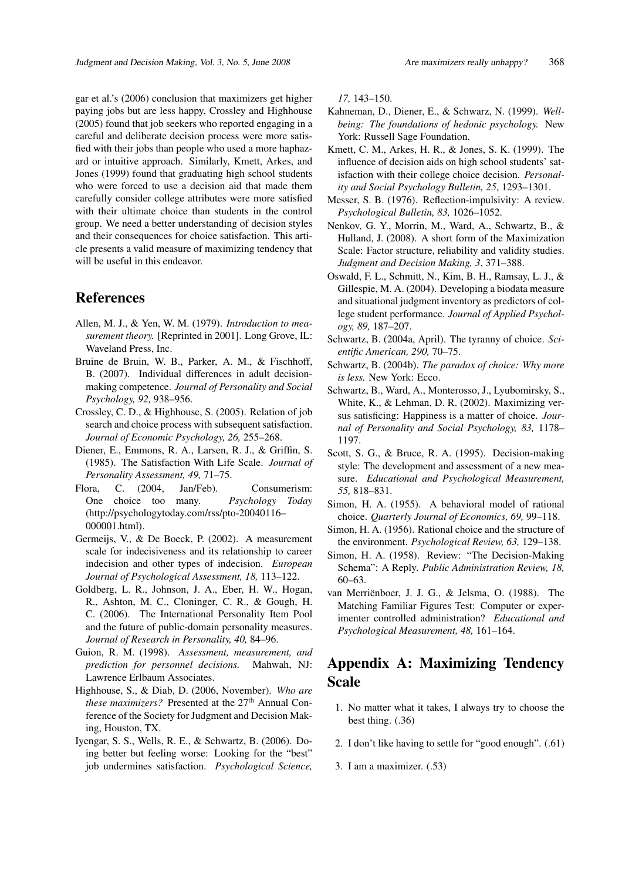gar et al.'s (2006) conclusion that maximizers get higher paying jobs but are less happy, Crossley and Highhouse (2005) found that job seekers who reported engaging in a careful and deliberate decision process were more satisfied with their jobs than people who used a more haphazard or intuitive approach. Similarly, Kmett, Arkes, and Jones (1999) found that graduating high school students who were forced to use a decision aid that made them carefully consider college attributes were more satisfied with their ultimate choice than students in the control group. We need a better understanding of decision styles and their consequences for choice satisfaction. This article presents a valid measure of maximizing tendency that will be useful in this endeavor.

## References

- Allen, M. J., & Yen, W. M. (1979). *Introduction to measurement theory.* [Reprinted in 2001]. Long Grove, IL: Waveland Press, Inc.
- Bruine de Bruin, W. B., Parker, A. M., & Fischhoff, B. (2007). Individual differences in adult decisionmaking competence. *Journal of Personality and Social Psychology, 92,* 938–956.
- Crossley, C. D., & Highhouse, S. (2005). Relation of job search and choice process with subsequent satisfaction. *Journal of Economic Psychology, 26,* 255–268.
- Diener, E., Emmons, R. A., Larsen, R. J., & Griffin, S. (1985). The Satisfaction With Life Scale. *Journal of Personality Assessment, 49,* 71–75.
- Flora, C. (2004, Jan/Feb). Consumerism: One choice too many. *Psychology Today* (http://psychologytoday.com/rss/pto-20040116– 000001.html).
- Germeijs, V., & De Boeck, P. (2002). A measurement scale for indecisiveness and its relationship to career indecision and other types of indecision. *European Journal of Psychological Assessment, 18,* 113–122.
- Goldberg, L. R., Johnson, J. A., Eber, H. W., Hogan, R., Ashton, M. C., Cloninger, C. R., & Gough, H. C. (2006). The International Personality Item Pool and the future of public-domain personality measures. *Journal of Research in Personality, 40,* 84–96.
- Guion, R. M. (1998). *Assessment, measurement, and prediction for personnel decisions.* Mahwah, NJ: Lawrence Erlbaum Associates.
- Highhouse, S., & Diab, D. (2006, November). *Who are these maximizers?* Presented at the 27<sup>th</sup> Annual Conference of the Society for Judgment and Decision Making, Houston, TX.
- Iyengar, S. S., Wells, R. E., & Schwartz, B. (2006). Doing better but feeling worse: Looking for the "best" job undermines satisfaction. *Psychological Science,*

*17,* 143–150.

- Kahneman, D., Diener, E., & Schwarz, N. (1999). *Wellbeing: The foundations of hedonic psychology.* New York: Russell Sage Foundation.
- Kmett, C. M., Arkes, H. R., & Jones, S. K. (1999). The influence of decision aids on high school students' satisfaction with their college choice decision. *Personality and Social Psychology Bulletin, 25*, 1293–1301.
- Messer, S. B. (1976). Reflection-impulsivity: A review. *Psychological Bulletin, 83,* 1026–1052.
- Nenkov, G. Y., Morrin, M., Ward, A., Schwartz, B., & Hulland, J. (2008). A short form of the Maximization Scale: Factor structure, reliability and validity studies. *Judgment and Decision Making, 3*, 371–388.
- Oswald, F. L., Schmitt, N., Kim, B. H., Ramsay, L. J., & Gillespie, M. A. (2004). Developing a biodata measure and situational judgment inventory as predictors of college student performance. *Journal of Applied Psychology, 89,* 187–207.
- Schwartz, B. (2004a, April). The tyranny of choice. *Scientific American, 290,* 70–75.
- Schwartz, B. (2004b). *The paradox of choice: Why more is less.* New York: Ecco.
- Schwartz, B., Ward, A., Monterosso, J., Lyubomirsky, S., White, K., & Lehman, D. R. (2002). Maximizing versus satisficing: Happiness is a matter of choice. *Journal of Personality and Social Psychology, 83,* 1178– 1197.
- Scott, S. G., & Bruce, R. A. (1995). Decision-making style: The development and assessment of a new measure. *Educational and Psychological Measurement, 55,* 818–831.
- Simon, H. A. (1955). A behavioral model of rational choice. *Quarterly Journal of Economics, 69,* 99–118.
- Simon, H. A. (1956). Rational choice and the structure of the environment. *Psychological Review, 63,* 129–138.
- Simon, H. A. (1958). Review: "The Decision-Making Schema": A Reply. *Public Administration Review, 18,* 60–63.
- van Merriënboer, J. J. G., & Jelsma, O. (1988). The Matching Familiar Figures Test: Computer or experimenter controlled administration? *Educational and Psychological Measurement, 48,* 161–164.

## Appendix A: Maximizing Tendency Scale

- 1. No matter what it takes, I always try to choose the best thing. (.36)
- 2. I don't like having to settle for "good enough". (.61)
- 3. I am a maximizer. (.53)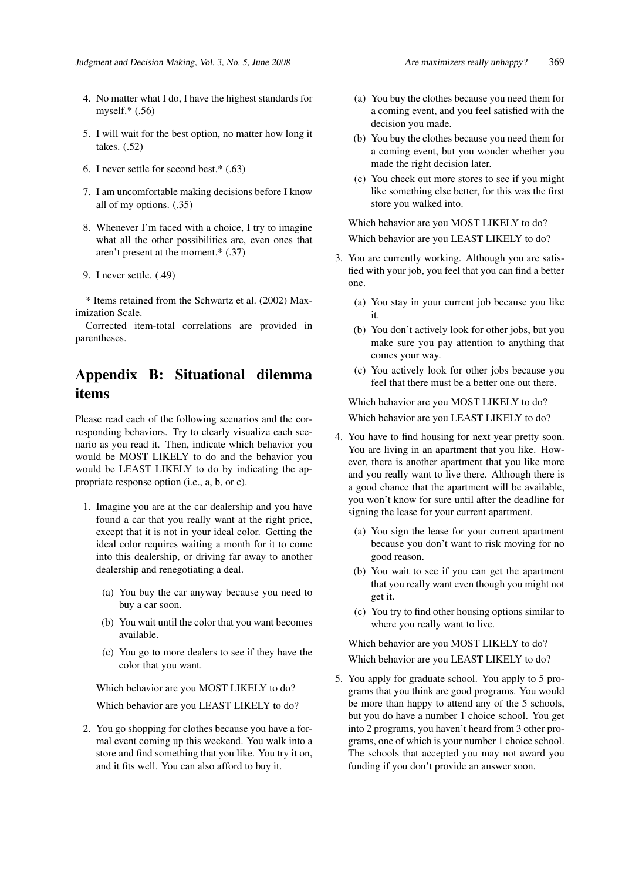- 4. No matter what I do, I have the highest standards for myself.\* (.56)
- 5. I will wait for the best option, no matter how long it takes. (.52)
- 6. I never settle for second best.\* (.63)
- 7. I am uncomfortable making decisions before I know all of my options. (.35)
- 8. Whenever I'm faced with a choice, I try to imagine what all the other possibilities are, even ones that aren't present at the moment.\* (.37)
- 9. I never settle. (.49)

\* Items retained from the Schwartz et al. (2002) Maximization Scale.

Corrected item-total correlations are provided in parentheses.

## Appendix B: Situational dilemma items

Please read each of the following scenarios and the corresponding behaviors. Try to clearly visualize each scenario as you read it. Then, indicate which behavior you would be MOST LIKELY to do and the behavior you would be LEAST LIKELY to do by indicating the appropriate response option (i.e., a, b, or c).

- 1. Imagine you are at the car dealership and you have found a car that you really want at the right price, except that it is not in your ideal color. Getting the ideal color requires waiting a month for it to come into this dealership, or driving far away to another dealership and renegotiating a deal.
	- (a) You buy the car anyway because you need to buy a car soon.
	- (b) You wait until the color that you want becomes available.
	- (c) You go to more dealers to see if they have the color that you want.

Which behavior are you MOST LIKELY to do? Which behavior are you LEAST LIKELY to do?

2. You go shopping for clothes because you have a formal event coming up this weekend. You walk into a store and find something that you like. You try it on, and it fits well. You can also afford to buy it.

- (a) You buy the clothes because you need them for a coming event, and you feel satisfied with the decision you made.
- (b) You buy the clothes because you need them for a coming event, but you wonder whether you made the right decision later.
- (c) You check out more stores to see if you might like something else better, for this was the first store you walked into.

Which behavior are you MOST LIKELY to do? Which behavior are you LEAST LIKELY to do?

- 3. You are currently working. Although you are satisfied with your job, you feel that you can find a better one.
	- (a) You stay in your current job because you like it.
	- (b) You don't actively look for other jobs, but you make sure you pay attention to anything that comes your way.
	- (c) You actively look for other jobs because you feel that there must be a better one out there.

Which behavior are you MOST LIKELY to do? Which behavior are you LEAST LIKELY to do?

- 4. You have to find housing for next year pretty soon. You are living in an apartment that you like. However, there is another apartment that you like more and you really want to live there. Although there is a good chance that the apartment will be available, you won't know for sure until after the deadline for signing the lease for your current apartment.
	- (a) You sign the lease for your current apartment because you don't want to risk moving for no good reason.
	- (b) You wait to see if you can get the apartment that you really want even though you might not get it.
	- (c) You try to find other housing options similar to where you really want to live.

Which behavior are you MOST LIKELY to do?

Which behavior are you LEAST LIKELY to do?

5. You apply for graduate school. You apply to 5 programs that you think are good programs. You would be more than happy to attend any of the 5 schools, but you do have a number 1 choice school. You get into 2 programs, you haven't heard from 3 other programs, one of which is your number 1 choice school. The schools that accepted you may not award you funding if you don't provide an answer soon.